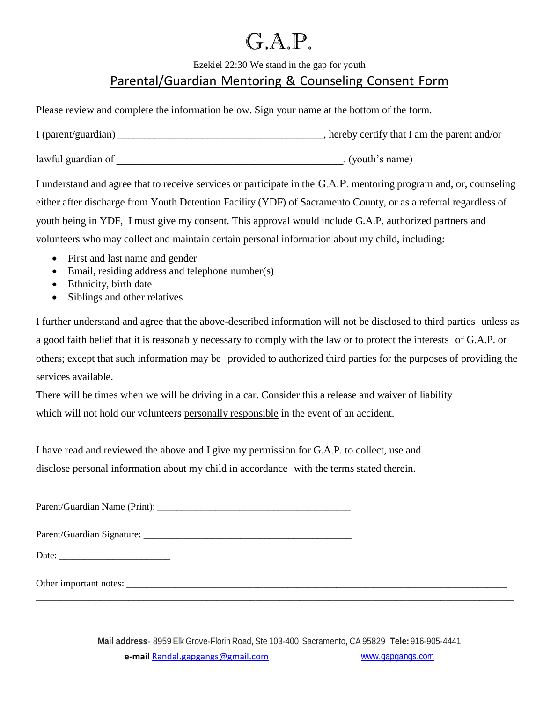## G.A.P.

Ezekiel 22:30 We stand in the gap for youth

## Parental/Guardian Mentoring & Counseling Consent Form

Please review and complete the information below. Sign your name at the bottom of the form.

| I (parent/guardian) | , hereby certify that I am the parent and/or |
|---------------------|----------------------------------------------|
| lawful guardian of  | . (youth's name)                             |

I understand and agree that to receive services or participate in the G.A.P. mentoring program and, or, counseling either after discharge from Youth Detention Facility (YDF) of Sacramento County, or as a referral regardless of youth being in YDF, I must give my consent. This approval would include G.A.P. authorized partners and volunteers who may collect and maintain certain personal information about my child, including:

- First and last name and gender
- Email, residing address and telephone number(s)
- Ethnicity, birth date
- Siblings and other relatives

I further understand and agree that the above-described information will not be disclosed to third parties unless as a good faith belief that it is reasonably necessary to comply with the law or to protect the interests of G.A.P. or others; except that such information may be provided to authorized third parties for the purposes of providing the services available.

There will be times when we will be driving in a car. Consider this a release and waiver of liability which will not hold our volunteers personally responsible in the event of an accident.

I have read and reviewed the above and I give my permission for G.A.P. to collect, use and disclose personal information about my child in accordance with the terms stated therein.

Parent/Guardian Name (Print): \_\_\_\_\_\_\_\_\_\_\_\_\_\_\_\_\_\_\_\_\_\_\_\_\_\_\_\_\_\_\_\_\_\_\_\_\_\_\_\_

Parent/Guardian Signature:

Date: \_\_\_\_\_\_\_\_\_\_\_\_\_\_\_\_\_\_\_\_\_\_\_

Other important notes: \_\_\_\_\_\_\_\_\_\_\_\_\_\_\_\_\_\_\_\_\_\_\_\_\_\_\_\_\_\_\_\_\_\_\_\_\_\_\_\_\_\_\_\_\_\_\_\_\_\_\_\_\_\_\_\_\_\_\_\_\_\_\_\_\_\_\_\_\_\_\_\_\_\_\_\_\_\_

\_\_\_\_\_\_\_\_\_\_\_\_\_\_\_\_\_\_\_\_\_\_\_\_\_\_\_\_\_\_\_\_\_\_\_\_\_\_\_\_\_\_\_\_\_\_\_\_\_\_\_\_\_\_\_\_\_\_\_\_\_\_\_\_\_\_\_\_\_\_\_\_\_\_\_\_\_\_\_\_\_\_\_\_\_\_\_\_\_\_\_\_\_\_\_\_\_\_